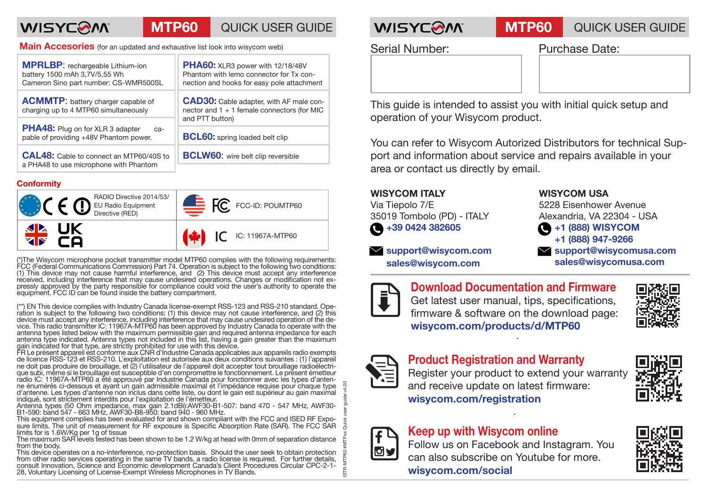# **WISYCOM**

# **MTP60** QUICK USER GUIDE **WISYCOM MTP60** QUICK USER GUIDE

**Main Accesories** (for an updated and exhaustive list look into wisycom web)

| <b>MPRLBP:</b> rechargeable Lithium-ion<br>battery 1500 mAh 3,7V/5,55 Wh<br>Cameron Sino part number: CS-WMR500SL | PHA60: XLR3 power with 12/18/48V<br>Phantom with lemo connector for Tx con-<br>nection and hooks for easy pole attachment |
|-------------------------------------------------------------------------------------------------------------------|---------------------------------------------------------------------------------------------------------------------------|
| <b>ACMMTP:</b> battery charger capable of<br>charging up to 4 MTP60 simultaneously                                | <b>CAD30:</b> Cable adapter, with AF male con-<br>nector and 1 + 1 female connectors (for MIC<br>and PTT button)          |
| PHA48: Plug on for XLR 3 adapter<br>ca-<br>pable of providing +48V Phantom power.                                 | <b>BCL60:</b> spring loaded belt clip                                                                                     |
| <b>CAL48:</b> Cable to connect an MTP60/40S to<br>a PHA48 to use microphone with Phantom                          | <b>BCLW60:</b> wire belt clip reversible                                                                                  |
|                                                                                                                   |                                                                                                                           |

### **Conformity**



(\*)The Wisycom microphone pocket transmitter model MTP60 complies with the following requirements: FCC (Federal Communications Commission) Part 74. Operation is subject to the following two conditions: (1) This device may not cause harmful interference, and (2) This device must accept any interference received, including interference that may cause undesired operations. Changes or modification not ex- pressly approved by the party responsible for compliance could void the user's authority to operate the equipment. FCC ID can be found inside the battery compartment.

(\*\*) EN This device complies with Industry Canada license-exempt RSS-123 and RSS-210 standard. Ope-<br>ration is subject to the following two conditions: (1) this device may not cause interference, and (2) this<br>device must ac device must accept any interference, including interference that may cause undesired operation of the de-<br>vice. This radio transmitter IC: 11967A-MTP60 has been approved by Industry Canada to operate with the<br>antenna types antenna type indicated. Antenna types not included in this list, having a gain greater than the maximum gain indicated for that type, are strictly prohibited for use with this device.

FR Le présent appareil est conforme aux CNR d'Industrie Canada applicables aux appareils radio exempts de licence RSS-123 et RSS-210. L'exploitation est autorisée aux deux conditions suivantes : (1) l'appareil ne doit pas produire de brouillage, et (2) l'utilisateur de l'appareil doit accepter tout brouillage radioélectri- que subi, même si le brouillage est susceptible d'en compromettre le fonctionnement. Le présent émetteur radio IC: 11967A-MTP60 a été approuvé par Industrie Canada pour fonctionner avec les types d'anten- ne énumérés ci-dessous et ayant un gain admissible maximal et l'impédance requise pour chaque type d'antenne. Les types d'antenne non inclus dans cette liste, ou dont le gain est supérieur au gain maximal indiqué, sont strictement interdits pour l'exploitation de l'émetteur.

Antenna types (50 Ohm impedance, max gain 2.1dBi):AWF30-B1-507: band 470 - 547 MHz, AWF30-<br>B1-590: band 547 - 663 MHz, AWF30-B8-950: band 940 - 960 MHz.

This equipment complies has been evaluated for and shown compliant with the FCC and ISED RF Expo- sure limits. The unit of measurement for RF exposure is Specific Absorption Rate (SAR). The FCC SAR limits for is 1.6W/Kg per 1g of tissue The maximum SAR levels tested has been shown to be 1.2 W/kg at head with 0mm of separation distance

from the body.

This device operates on a no-interference, no-protection basis. Should the user seek to obtain protection from other radio services operating in the same TV bands, a radio license is required. For further details, consult Innovation, Science and Economic development Canada's Client Procedures Circular CPC-2-1- 28, Voluntary Licensing of License-Exempt Wireless Microphones in TV Bands.

Serial Number: Purchase Date:

This guide is intended to assist you with initial quick setup and operation of your Wisycom product.

You can refer to Wisycom Autorized Distributors for technical Support and information about service and repairs available in your area or contact us directly by email.

## **WISYCOM ITALY**

Via Tiepolo 7/E 35019 Tombolo (PD) - ITALY **+39 0424 382605**

 **support@wisycom.com sales@wisycom.com**

### **WISYCOM USA**

5228 Eisenhower Avenue Alexandria, VA 22304 - USA **+1 (888) WISYCOM +1 (888) 947-9266 support@wisycomusa.com sales@wisycomusa.com**



**Download Documentation and Firmware** Get latest user manual, tips, specifications, firmware & software on the download page: **wisycom.com/products/d/MTP60**





STR-MTP60 #MTPxx Quick user quide v4.00

STR-M

## **Product Registration and Warranty**

Register your product to extend your warranty and receive update on latest firmware: **wisycom.com/registration**





## **Keep up with Wisycom online**

Follow us on Facebook and Instagram. You can also subscribe on Youtube for more. **wisycom.com/social**